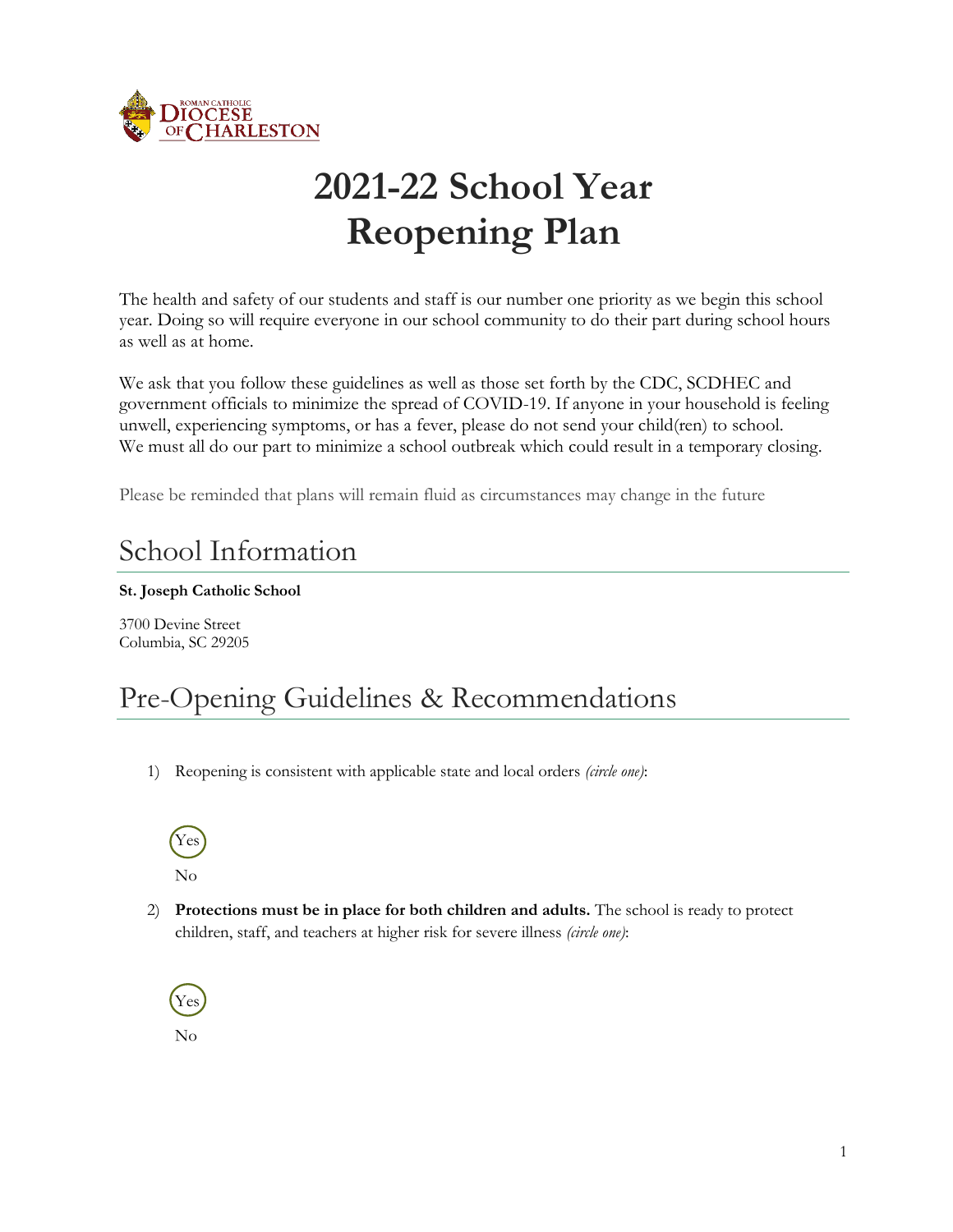

# **2021-22 School Year Reopening Plan**

The health and safety of our students and staff is our number one priority as we begin this school year. Doing so will require everyone in our school community to do their part during school hours as well as at home.

We ask that you follow these guidelines as well as those set forth by the CDC, SCDHEC and government officials to minimize the spread of COVID-19. If anyone in your household is feeling unwell, experiencing symptoms, or has a fever, please do not send your child(ren) to school. We must all do our part to minimize a school outbreak which could result in a temporary closing.

Please be reminded that plans will remain fluid as circumstances may change in the future

#### School Information

#### **St. Joseph Catholic School**

3700 Devine Street Columbia, SC 29205

#### Pre-Opening Guidelines & Recommendations

1) Reopening is consistent with applicable state and local orders *(circle one)*:



2) **Protections must be in place for both children and adults.** The school is ready to protect children, staff, and teachers at higher risk for severe illness *(circle one)*:



No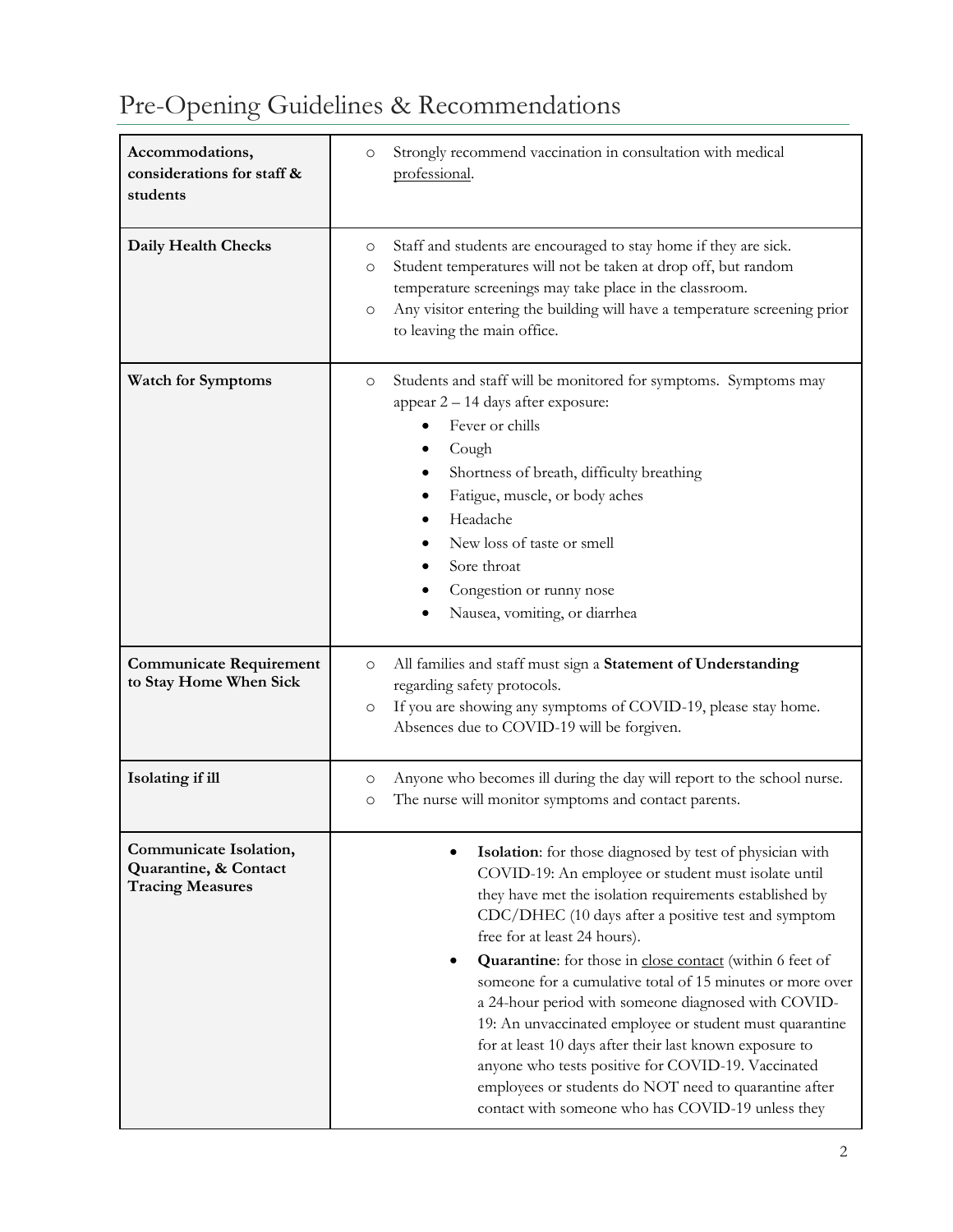#### **Accommodations, considerations for staff & students** o Strongly recommend vaccination in consultation with medical professional. **Daily Health Checks** o Staff and students are encouraged to stay home if they are sick. o Student temperatures will not be taken at drop off, but random temperature screenings may take place in the classroom. o Any visitor entering the building will have a temperature screening prior to leaving the main office. **Watch for Symptoms** o Students and staff will be monitored for symptoms. Symptoms may appear 2 – 14 days after exposure: • Fever or chills • Cough • Shortness of breath, difficulty breathing • Fatigue, muscle, or body aches • Headache • New loss of taste or smell Sore throat Congestion or runny nose • Nausea, vomiting, or diarrhea **Communicate Requirement to Stay Home When Sick** o All families and staff must sign a **Statement of Understanding** regarding safety protocols. o If you are showing any symptoms of COVID-19, please stay home. Absences due to COVID-19 will be forgiven. **Isolating if ill** o Anyone who becomes ill during the day will report to the school nurse. o The nurse will monitor symptoms and contact parents. **Communicate Isolation, Quarantine, & Contact Tracing Measures** • **Isolation**: for those diagnosed by test of physician with COVID-19: An employee or student must isolate until they have met the isolation requirements established by CDC/DHEC (10 days after a positive test and symptom free for at least 24 hours). • **Quarantine**: for those in [close contact](https://www.cdc.gov/coronavirus/2019-ncov/php/contact-tracing/contact-tracing-plan/appendix.html#contact) (within 6 feet of someone for a cumulative total of 15 minutes or more over a 24-hour period with someone diagnosed with COVID-19: An unvaccinated employee or student must quarantine for at least 10 days after their last known exposure to anyone who tests positive for COVID-19. Vaccinated employees or students do NOT need to quarantine after contact with someone who has COVID-19 unless they

#### Pre-Opening Guidelines & Recommendations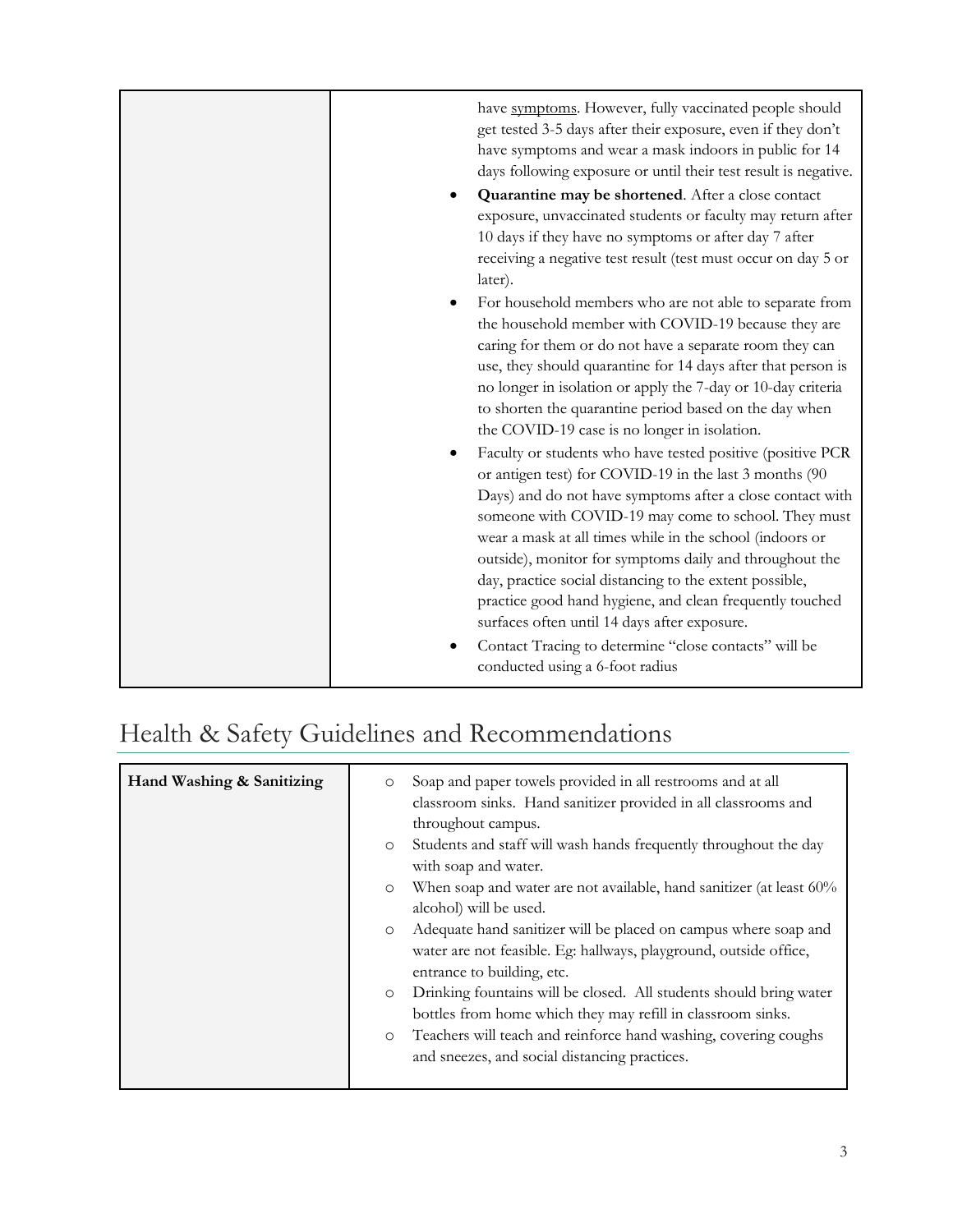| have symptoms. However, fully vaccinated people should                                                                    |
|---------------------------------------------------------------------------------------------------------------------------|
| get tested 3-5 days after their exposure, even if they don't                                                              |
| have symptoms and wear a mask indoors in public for 14<br>days following exposure or until their test result is negative. |
|                                                                                                                           |
| Quarantine may be shortened. After a close contact                                                                        |
| exposure, unvaccinated students or faculty may return after                                                               |
| 10 days if they have no symptoms or after day 7 after                                                                     |
| receiving a negative test result (test must occur on day 5 or                                                             |
| later).                                                                                                                   |
| For household members who are not able to separate from                                                                   |
| the household member with COVID-19 because they are                                                                       |
| caring for them or do not have a separate room they can                                                                   |
| use, they should quarantine for 14 days after that person is                                                              |
| no longer in isolation or apply the 7-day or 10-day criteria                                                              |
| to shorten the quarantine period based on the day when                                                                    |
| the COVID-19 case is no longer in isolation.                                                                              |
| Faculty or students who have tested positive (positive PCR                                                                |
| or antigen test) for COVID-19 in the last 3 months (90                                                                    |
| Days) and do not have symptoms after a close contact with                                                                 |
| someone with COVID-19 may come to school. They must                                                                       |
| wear a mask at all times while in the school (indoors or                                                                  |
| outside), monitor for symptoms daily and throughout the                                                                   |
| day, practice social distancing to the extent possible,                                                                   |
| practice good hand hygiene, and clean frequently touched                                                                  |
| surfaces often until 14 days after exposure.                                                                              |
| Contact Tracing to determine "close contacts" will be                                                                     |
| conducted using a 6-foot radius                                                                                           |

### Health & Safety Guidelines and Recommendations

| Hand Washing & Sanitizing<br>Soap and paper towels provided in all restrooms and at all<br>$\circ$<br>classroom sinks. Hand sanitizer provided in all classrooms and<br>throughout campus.<br>Students and staff will wash hands frequently throughout the day<br>$\circ$<br>with soap and water.<br>When soap and water are not available, hand sanitizer (at least 60%<br>$\circ$<br>alcohol) will be used.<br>Adequate hand sanitizer will be placed on campus where soap and<br>$\circ$<br>water are not feasible. Eg: hallways, playground, outside office,<br>entrance to building, etc.<br>Drinking fountains will be closed. All students should bring water<br>$\circ$<br>bottles from home which they may refill in classroom sinks.<br>Teachers will teach and reinforce hand washing, covering coughs<br>$\circ$<br>and sneezes, and social distancing practices. |  |
|-------------------------------------------------------------------------------------------------------------------------------------------------------------------------------------------------------------------------------------------------------------------------------------------------------------------------------------------------------------------------------------------------------------------------------------------------------------------------------------------------------------------------------------------------------------------------------------------------------------------------------------------------------------------------------------------------------------------------------------------------------------------------------------------------------------------------------------------------------------------------------|--|
|-------------------------------------------------------------------------------------------------------------------------------------------------------------------------------------------------------------------------------------------------------------------------------------------------------------------------------------------------------------------------------------------------------------------------------------------------------------------------------------------------------------------------------------------------------------------------------------------------------------------------------------------------------------------------------------------------------------------------------------------------------------------------------------------------------------------------------------------------------------------------------|--|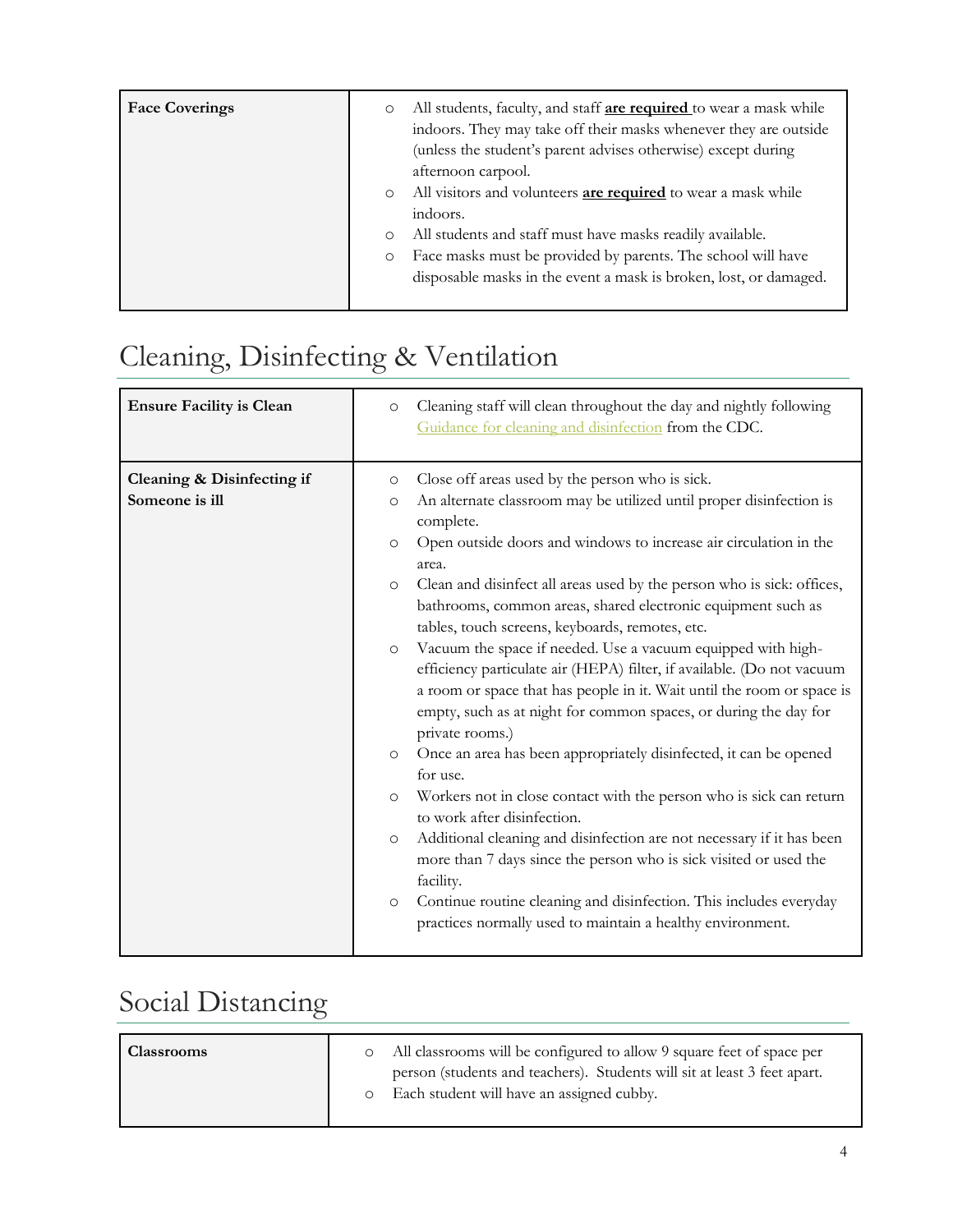| <b>Face Coverings</b> | All students, faculty, and staff <b>are required</b> to wear a mask while<br>$\circ$<br>indoors. They may take off their masks whenever they are outside<br>(unless the student's parent advises otherwise) except during<br>afternoon carpool.<br>All visitors and volunteers <b>are required</b> to wear a mask while<br>$\circ$<br>indoors.<br>All students and staff must have masks readily available.<br>$\circ$<br>Face masks must be provided by parents. The school will have<br>$\circ$<br>disposable masks in the event a mask is broken, lost, or damaged. |
|-----------------------|------------------------------------------------------------------------------------------------------------------------------------------------------------------------------------------------------------------------------------------------------------------------------------------------------------------------------------------------------------------------------------------------------------------------------------------------------------------------------------------------------------------------------------------------------------------------|
|                       |                                                                                                                                                                                                                                                                                                                                                                                                                                                                                                                                                                        |

# Cleaning, Disinfecting & Ventilation

| <b>Ensure Facility is Clean</b>              | Cleaning staff will clean throughout the day and nightly following<br>$\circ$<br>Guidance for cleaning and disinfection from the CDC.                                                                                                                                                                                                                                                                                                                                                                                                                                                                                                                                                                                                                                                                                                                                                                                                                                                                                                                                                                                                                                                                                                                                                                              |
|----------------------------------------------|--------------------------------------------------------------------------------------------------------------------------------------------------------------------------------------------------------------------------------------------------------------------------------------------------------------------------------------------------------------------------------------------------------------------------------------------------------------------------------------------------------------------------------------------------------------------------------------------------------------------------------------------------------------------------------------------------------------------------------------------------------------------------------------------------------------------------------------------------------------------------------------------------------------------------------------------------------------------------------------------------------------------------------------------------------------------------------------------------------------------------------------------------------------------------------------------------------------------------------------------------------------------------------------------------------------------|
| Cleaning & Disinfecting if<br>Someone is ill | Close off areas used by the person who is sick.<br>$\circ$<br>An alternate classroom may be utilized until proper disinfection is<br>$\circ$<br>complete.<br>Open outside doors and windows to increase air circulation in the<br>$\circ$<br>area.<br>Clean and disinfect all areas used by the person who is sick: offices,<br>$\circ$<br>bathrooms, common areas, shared electronic equipment such as<br>tables, touch screens, keyboards, remotes, etc.<br>Vacuum the space if needed. Use a vacuum equipped with high-<br>$\circ$<br>efficiency particulate air (HEPA) filter, if available. (Do not vacuum<br>a room or space that has people in it. Wait until the room or space is<br>empty, such as at night for common spaces, or during the day for<br>private rooms.)<br>Once an area has been appropriately disinfected, it can be opened<br>$\circ$<br>for use.<br>Workers not in close contact with the person who is sick can return<br>$\circ$<br>to work after disinfection.<br>Additional cleaning and disinfection are not necessary if it has been<br>$\circ$<br>more than 7 days since the person who is sick visited or used the<br>facility.<br>Continue routine cleaning and disinfection. This includes everyday<br>$\circ$<br>practices normally used to maintain a healthy environment. |

## Social Distancing

| <b>Classrooms</b> | All classrooms will be configured to allow 9 square feet of space per<br>person (students and teachers). Students will sit at least 3 feet apart.<br>Each student will have an assigned cubby. |
|-------------------|------------------------------------------------------------------------------------------------------------------------------------------------------------------------------------------------|
|                   |                                                                                                                                                                                                |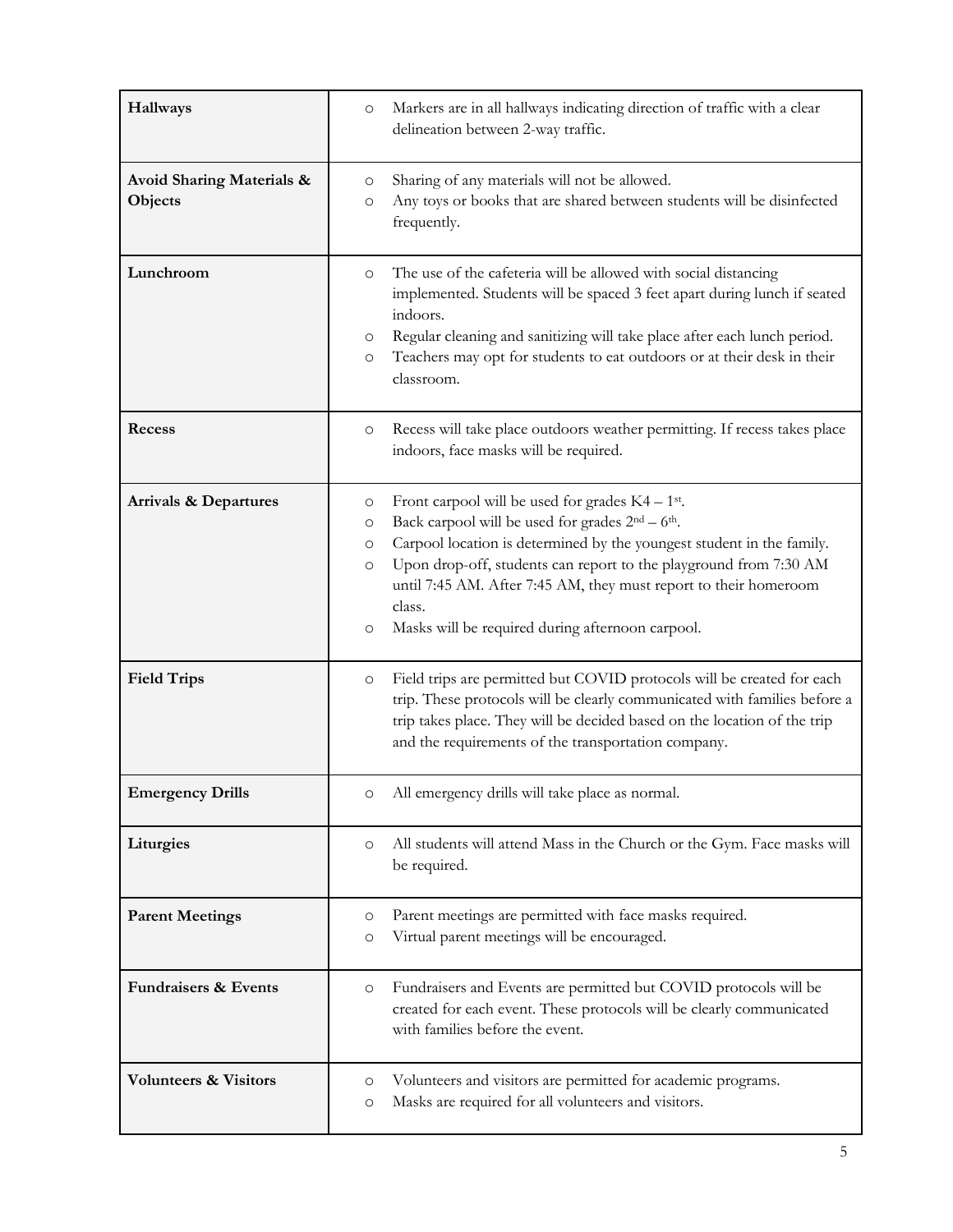| Hallways                                        | Markers are in all hallways indicating direction of traffic with a clear<br>$\circ$<br>delineation between 2-way traffic.                                                                                                                                                                                                                                                                                                                                 |
|-------------------------------------------------|-----------------------------------------------------------------------------------------------------------------------------------------------------------------------------------------------------------------------------------------------------------------------------------------------------------------------------------------------------------------------------------------------------------------------------------------------------------|
| <b>Avoid Sharing Materials &amp;</b><br>Objects | Sharing of any materials will not be allowed.<br>O<br>Any toys or books that are shared between students will be disinfected<br>O<br>frequently.                                                                                                                                                                                                                                                                                                          |
| Lunchroom                                       | The use of the cafeteria will be allowed with social distancing<br>$\circ$<br>implemented. Students will be spaced 3 feet apart during lunch if seated<br>indoors.<br>Regular cleaning and sanitizing will take place after each lunch period.<br>O<br>Teachers may opt for students to eat outdoors or at their desk in their<br>$\circ$<br>classroom.                                                                                                   |
| Recess                                          | Recess will take place outdoors weather permitting. If recess takes place<br>$\circ$<br>indoors, face masks will be required.                                                                                                                                                                                                                                                                                                                             |
| <b>Arrivals &amp; Departures</b>                | Front carpool will be used for grades $K4 - 1$ <sup>st</sup> .<br>O<br>Back carpool will be used for grades 2 <sup>nd</sup> - 6 <sup>th</sup> .<br>O<br>Carpool location is determined by the youngest student in the family.<br>O<br>Upon drop-off, students can report to the playground from 7:30 AM<br>$\circ$<br>until 7:45 AM. After 7:45 AM, they must report to their homeroom<br>class.<br>Masks will be required during afternoon carpool.<br>O |
| <b>Field Trips</b>                              | Field trips are permitted but COVID protocols will be created for each<br>$\circ$<br>trip. These protocols will be clearly communicated with families before a<br>trip takes place. They will be decided based on the location of the trip<br>and the requirements of the transportation company.                                                                                                                                                         |
| <b>Emergency Drills</b>                         | All emergency drills will take place as normal.<br>O                                                                                                                                                                                                                                                                                                                                                                                                      |
| Liturgies                                       | All students will attend Mass in the Church or the Gym. Face masks will<br>O<br>be required.                                                                                                                                                                                                                                                                                                                                                              |
| <b>Parent Meetings</b>                          | Parent meetings are permitted with face masks required.<br>O<br>Virtual parent meetings will be encouraged.<br>O                                                                                                                                                                                                                                                                                                                                          |
| <b>Fundraisers &amp; Events</b>                 | Fundraisers and Events are permitted but COVID protocols will be<br>O<br>created for each event. These protocols will be clearly communicated<br>with families before the event.                                                                                                                                                                                                                                                                          |
| <b>Volunteers &amp; Visitors</b>                | Volunteers and visitors are permitted for academic programs.<br>O<br>Masks are required for all volunteers and visitors.<br>O                                                                                                                                                                                                                                                                                                                             |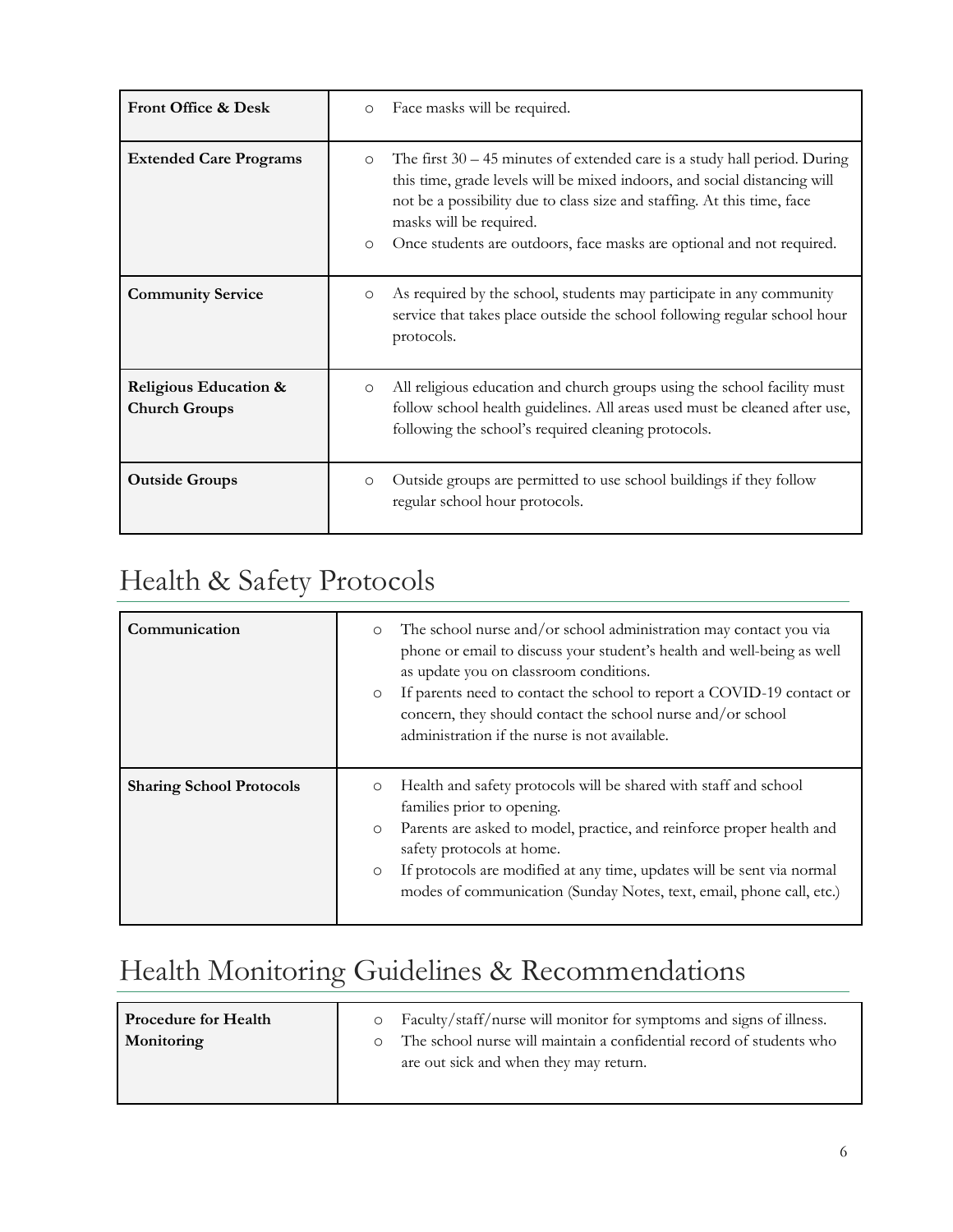| Front Office & Desk                           | Face masks will be required.<br>$\circ$                                                                                                                                                                                                                                                                                                                       |
|-----------------------------------------------|---------------------------------------------------------------------------------------------------------------------------------------------------------------------------------------------------------------------------------------------------------------------------------------------------------------------------------------------------------------|
| <b>Extended Care Programs</b>                 | The first $30 - 45$ minutes of extended care is a study hall period. During<br>$\circ$<br>this time, grade levels will be mixed indoors, and social distancing will<br>not be a possibility due to class size and staffing. At this time, face<br>masks will be required.<br>Once students are outdoors, face masks are optional and not required.<br>$\circ$ |
| <b>Community Service</b>                      | As required by the school, students may participate in any community<br>$\circ$<br>service that takes place outside the school following regular school hour<br>protocols.                                                                                                                                                                                    |
| Religious Education &<br><b>Church Groups</b> | All religious education and church groups using the school facility must<br>$\circ$<br>follow school health guidelines. All areas used must be cleaned after use,<br>following the school's required cleaning protocols.                                                                                                                                      |
| <b>Outside Groups</b>                         | Outside groups are permitted to use school buildings if they follow<br>$\circ$<br>regular school hour protocols.                                                                                                                                                                                                                                              |

### Health & Safety Protocols

| Communication                   | The school nurse and/or school administration may contact you via<br>$\circ$<br>phone or email to discuss your student's health and well-being as well<br>as update you on classroom conditions.<br>If parents need to contact the school to report a COVID-19 contact or<br>$\circ$<br>concern, they should contact the school nurse and/or school<br>administration if the nurse is not available. |
|---------------------------------|------------------------------------------------------------------------------------------------------------------------------------------------------------------------------------------------------------------------------------------------------------------------------------------------------------------------------------------------------------------------------------------------------|
| <b>Sharing School Protocols</b> | Health and safety protocols will be shared with staff and school<br>$\circ$<br>families prior to opening.<br>Parents are asked to model, practice, and reinforce proper health and<br>$\circ$<br>safety protocols at home.<br>If protocols are modified at any time, updates will be sent via normal<br>$\circ$<br>modes of communication (Sunday Notes, text, email, phone call, etc.)              |

## Health Monitoring Guidelines & Recommendations

| <b>Procedure for Health</b> | Faculty/staff/nurse will monitor for symptoms and signs of illness.<br>$\circ$ |
|-----------------------------|--------------------------------------------------------------------------------|
| Monitoring                  | The school nurse will maintain a confidential record of students who           |
|                             | are out sick and when they may return.                                         |
|                             |                                                                                |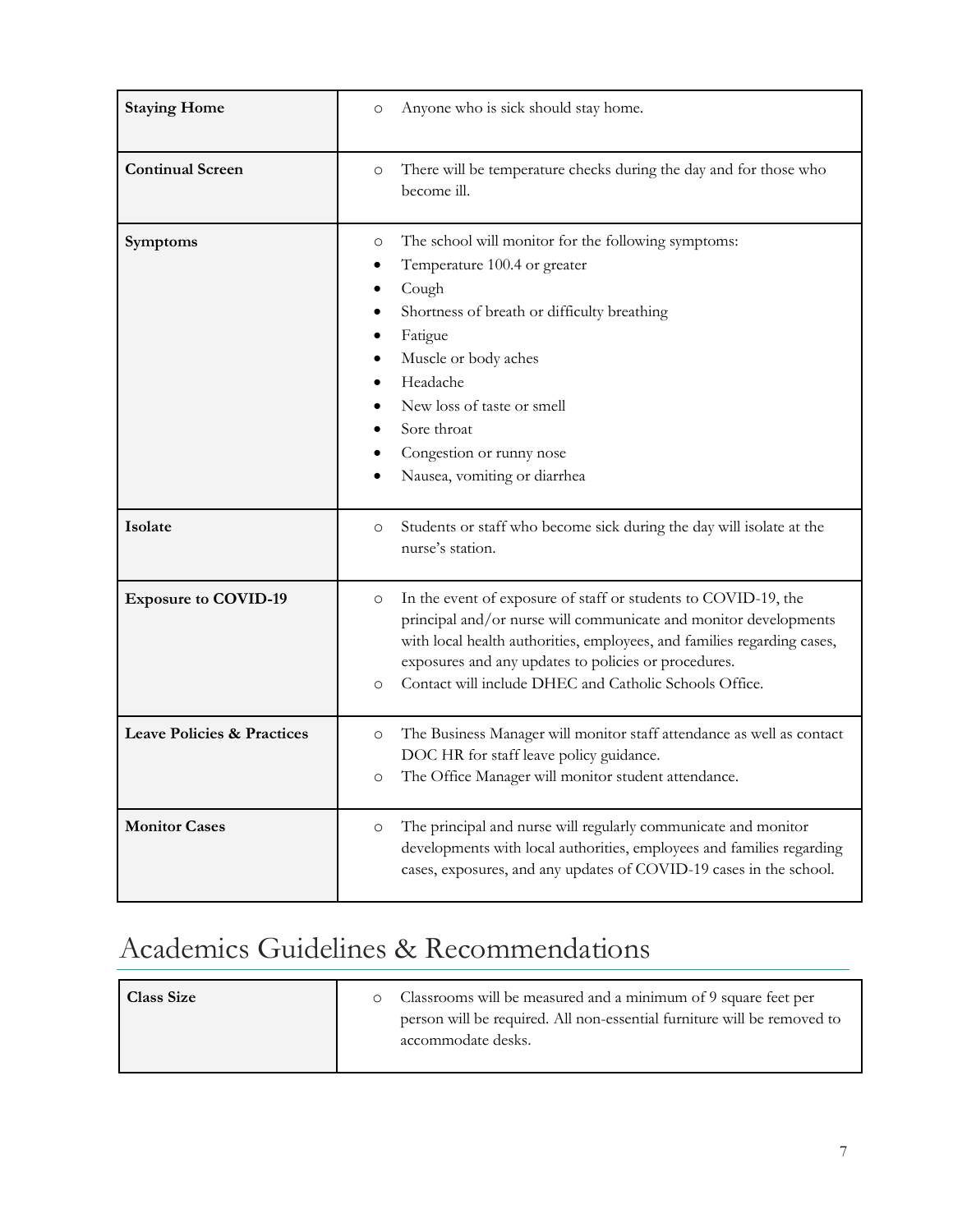| <b>Staying Home</b>                   | Anyone who is sick should stay home.<br>$\circ$                                                                                                                                                                                                                                                                                                       |
|---------------------------------------|-------------------------------------------------------------------------------------------------------------------------------------------------------------------------------------------------------------------------------------------------------------------------------------------------------------------------------------------------------|
| <b>Continual Screen</b>               | There will be temperature checks during the day and for those who<br>$\circ$<br>become ill.                                                                                                                                                                                                                                                           |
| Symptoms                              | The school will monitor for the following symptoms:<br>O<br>Temperature 100.4 or greater<br>Cough<br>Shortness of breath or difficulty breathing<br>Fatigue<br>Muscle or body aches<br>Headache<br>New loss of taste or smell<br>Sore throat<br>Congestion or runny nose<br>Nausea, vomiting or diarrhea                                              |
| Isolate                               | Students or staff who become sick during the day will isolate at the<br>$\circ$<br>nurse's station.                                                                                                                                                                                                                                                   |
| <b>Exposure to COVID-19</b>           | In the event of exposure of staff or students to COVID-19, the<br>$\circ$<br>principal and/or nurse will communicate and monitor developments<br>with local health authorities, employees, and families regarding cases,<br>exposures and any updates to policies or procedures.<br>Contact will include DHEC and Catholic Schools Office.<br>$\circ$ |
| <b>Leave Policies &amp; Practices</b> | The Business Manager will monitor staff attendance as well as contact<br>$\circ$<br>DOC HR for staff leave policy guidance.<br>The Office Manager will monitor student attendance.<br>$\circ$                                                                                                                                                         |
| <b>Monitor Cases</b>                  | The principal and nurse will regularly communicate and monitor<br>$\circ$<br>developments with local authorities, employees and families regarding<br>cases, exposures, and any updates of COVID-19 cases in the school.                                                                                                                              |

## Academics Guidelines & Recommendations

| <b>Class Size</b> | Classrooms will be measured and a minimum of 9 square feet per                                |
|-------------------|-----------------------------------------------------------------------------------------------|
|                   | person will be required. All non-essential furniture will be removed to<br>accommodate desks. |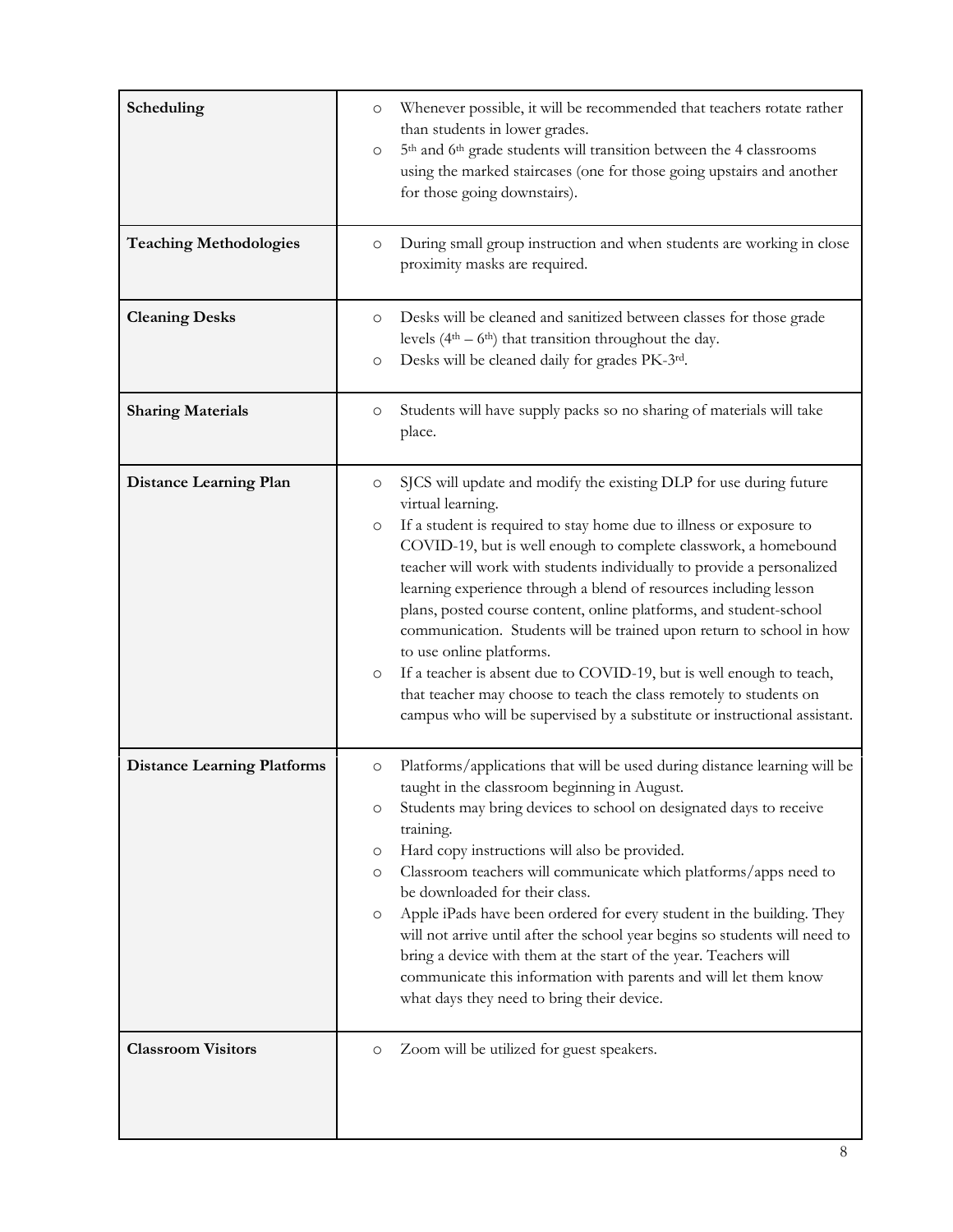| Scheduling<br><b>Teaching Methodologies</b><br><b>Cleaning Desks</b> | Whenever possible, it will be recommended that teachers rotate rather<br>$\circ$<br>than students in lower grades.<br>5 <sup>th</sup> and 6 <sup>th</sup> grade students will transition between the 4 classrooms<br>$\circ$<br>using the marked staircases (one for those going upstairs and another<br>for those going downstairs).<br>During small group instruction and when students are working in close<br>$\circ$<br>proximity masks are required.<br>Desks will be cleaned and sanitized between classes for those grade<br>O                                                                                                                                                                                                                                                                           |
|----------------------------------------------------------------------|------------------------------------------------------------------------------------------------------------------------------------------------------------------------------------------------------------------------------------------------------------------------------------------------------------------------------------------------------------------------------------------------------------------------------------------------------------------------------------------------------------------------------------------------------------------------------------------------------------------------------------------------------------------------------------------------------------------------------------------------------------------------------------------------------------------|
|                                                                      | levels $(4th – 6th)$ that transition throughout the day.<br>Desks will be cleaned daily for grades PK-3rd.<br>O                                                                                                                                                                                                                                                                                                                                                                                                                                                                                                                                                                                                                                                                                                  |
| <b>Sharing Materials</b>                                             | Students will have supply packs so no sharing of materials will take<br>O<br>place.                                                                                                                                                                                                                                                                                                                                                                                                                                                                                                                                                                                                                                                                                                                              |
| <b>Distance Learning Plan</b>                                        | SJCS will update and modify the existing DLP for use during future<br>$\circ$<br>virtual learning.<br>If a student is required to stay home due to illness or exposure to<br>$\circ$<br>COVID-19, but is well enough to complete classwork, a homebound<br>teacher will work with students individually to provide a personalized<br>learning experience through a blend of resources including lesson<br>plans, posted course content, online platforms, and student-school<br>communication. Students will be trained upon return to school in how<br>to use online platforms.<br>If a teacher is absent due to COVID-19, but is well enough to teach,<br>O<br>that teacher may choose to teach the class remotely to students on<br>campus who will be supervised by a substitute or instructional assistant. |
| <b>Distance Learning Platforms</b>                                   | Platforms/applications that will be used during distance learning will be<br>$\circ$<br>taught in the classroom beginning in August.<br>Students may bring devices to school on designated days to receive<br>O<br>training.<br>Hard copy instructions will also be provided.<br>O<br>Classroom teachers will communicate which platforms/apps need to<br>$\circ$<br>be downloaded for their class.<br>Apple iPads have been ordered for every student in the building. They<br>O<br>will not arrive until after the school year begins so students will need to<br>bring a device with them at the start of the year. Teachers will<br>communicate this information with parents and will let them know<br>what days they need to bring their device.                                                           |
| <b>Classroom Visitors</b>                                            | Zoom will be utilized for guest speakers.<br>$\circ$                                                                                                                                                                                                                                                                                                                                                                                                                                                                                                                                                                                                                                                                                                                                                             |